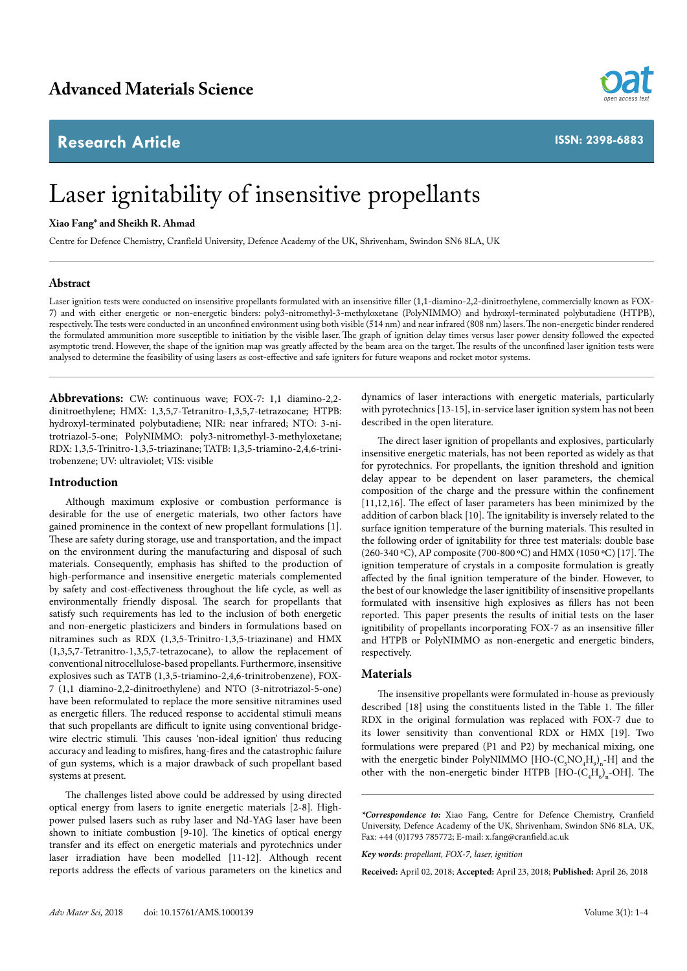## **Research Article**



**ISSN: 2398-6883**

# Laser ignitability of insensitive propellants

#### **Xiao Fang\* and Sheikh R. Ahmad**

Centre for Defence Chemistry, Cranfield University, Defence Academy of the UK, Shrivenham, Swindon SN6 8LA, UK

### **Abstract**

Laser ignition tests were conducted on insensitive propellants formulated with an insensitive filler (1,1-diamino-2,2-dinitroethylene, commercially known as FOX-7) and with either energetic or non-energetic binders: poly3-nitromethyl-3-methyloxetane (PolyNIMMO) and hydroxyl-terminated polybutadiene (HTPB), respectively. The tests were conducted in an unconfined environment using both visible (514 nm) and near infrared (808 nm) lasers. The non-energetic binder rendered the formulated ammunition more susceptible to initiation by the visible laser. The graph of ignition delay times versus laser power density followed the expected asymptotic trend. However, the shape of the ignition map was greatly affected by the beam area on the target. The results of the unconfined laser ignition tests were analysed to determine the feasibility of using lasers as cost-effective and safe igniters for future weapons and rocket motor systems.

**Abbrevations:** CW: continuous wave; FOX-7: 1,1 diamino-2,2 dinitroethylene; HMX: 1,3,5,7-Tetranitro-1,3,5,7-tetrazocane; HTPB: hydroxyl-terminated polybutadiene; NIR: near infrared; NTO: 3-nitrotriazol-5-one; PolyNIMMO: poly3-nitromethyl-3-methyloxetane; RDX: 1,3,5-Trinitro-1,3,5-triazinane; TATB: 1,3,5-triamino-2,4,6-trinitrobenzene; UV: ultraviolet; VIS: visible

#### **Introduction**

Although maximum explosive or combustion performance is desirable for the use of energetic materials, two other factors have gained prominence in the context of new propellant formulations [1]. These are safety during storage, use and transportation, and the impact on the environment during the manufacturing and disposal of such materials. Consequently, emphasis has shifted to the production of high-performance and insensitive energetic materials complemented by safety and cost-effectiveness throughout the life cycle, as well as environmentally friendly disposal. The search for propellants that satisfy such requirements has led to the inclusion of both energetic and non-energetic plasticizers and binders in formulations based on nitramines such as RDX (1,3,5-Trinitro-1,3,5-triazinane) and HMX (1,3,5,7-Tetranitro-1,3,5,7-tetrazocane), to allow the replacement of conventional nitrocellulose-based propellants. Furthermore, insensitive explosives such as TATB (1,3,5-triamino-2,4,6-trinitrobenzene), FOX-7 (1,1 diamino-2,2-dinitroethylene) and NTO (3-nitrotriazol-5-one) have been reformulated to replace the more sensitive nitramines used as energetic fillers. The reduced response to accidental stimuli means that such propellants are difficult to ignite using conventional bridgewire electric stimuli. This causes 'non-ideal ignition' thus reducing accuracy and leading to misfires, hang-fires and the catastrophic failure of gun systems, which is a major drawback of such propellant based systems at present.

The challenges listed above could be addressed by using directed optical energy from lasers to ignite energetic materials [2-8]. Highpower pulsed lasers such as ruby laser and Nd-YAG laser have been shown to initiate combustion [9-10]. The kinetics of optical energy transfer and its effect on energetic materials and pyrotechnics under laser irradiation have been modelled [11-12]. Although recent reports address the effects of various parameters on the kinetics and

dynamics of laser interactions with energetic materials, particularly with pyrotechnics [13-15], in-service laser ignition system has not been described in the open literature.

The direct laser ignition of propellants and explosives, particularly insensitive energetic materials, has not been reported as widely as that for pyrotechnics. For propellants, the ignition threshold and ignition delay appear to be dependent on laser parameters, the chemical composition of the charge and the pressure within the confinement [11,12,16]. The effect of laser parameters has been minimized by the addition of carbon black [10]. The ignitability is inversely related to the surface ignition temperature of the burning materials. This resulted in the following order of ignitability for three test materials: double base (260-340 ºC), AP composite (700-800 ºC) and HMX (1050 ºC) [17]. The ignition temperature of crystals in a composite formulation is greatly affected by the final ignition temperature of the binder. However, to the best of our knowledge the laser ignitibility of insensitive propellants formulated with insensitive high explosives as fillers has not been reported. This paper presents the results of initial tests on the laser ignitibility of propellants incorporating FOX-7 as an insensitive filler and HTPB or PolyNIMMO as non-energetic and energetic binders, respectively.

### **Materials**

The insensitive propellants were formulated in-house as previously described [18] using the constituents listed in the Table 1. The filler RDX in the original formulation was replaced with FOX-7 due to its lower sensitivity than conventional RDX or HMX [19]. Two formulations were prepared (P1 and P2) by mechanical mixing, one with the energetic binder PolyNIMMO  $[HO-(C_5NO_4H_9)_n-H]$  and the other with the non-energetic binder HTPB  $[HO-(C<sub>4</sub>H<sub>6</sub>)<sub>n</sub>$ -OH]. The

*<sup>\*</sup>Correspondence to:* Xiao Fang, Centre for Defence Chemistry, Cranfield University, Defence Academy of the UK, Shrivenham, Swindon SN6 8LA, UK, Fax: +44 (0)1793 785772; E-mail: [x.fang@cranfield.ac.uk](mailto:x.fang@cranfield.ac.uk)

*Key words: propellant, FOX-7, laser, ignition*

**Received:** April 02, 2018; **Accepted:** April 23, 2018; **Published:** April 26, 2018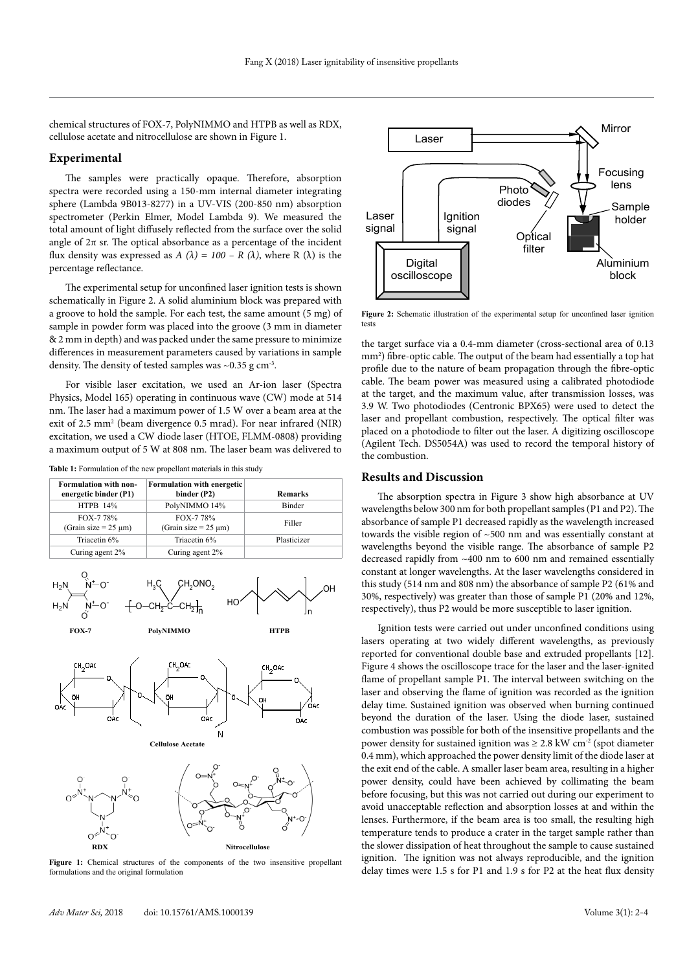chemical structures of FOX-7, PolyNIMMO and HTPB as well as RDX, cellulose acetate and nitrocellulose are shown in Figure 1.

#### **Experimental**

The samples were practically opaque. Therefore, absorption spectra were recorded using a 150-mm internal diameter integrating sphere (Lambda 9B013-8277) in a UV-VIS (200-850 nm) absorption spectrometer (Perkin Elmer, Model Lambda 9). We measured the total amount of light diffusely reflected from the surface over the solid angle of  $2\pi$  sr. The optical absorbance as a percentage of the incident flux density was expressed as  $A(\lambda) = 100 - R(\lambda)$ , where R ( $\lambda$ ) is the percentage reflectance.

The experimental setup for unconfined laser ignition tests is shown schematically in Figure 2. A solid aluminium block was prepared with a groove to hold the sample. For each test, the same amount (5 mg) of sample in powder form was placed into the groove (3 mm in diameter & 2 mm in depth) and was packed under the same pressure to minimize differences in measurement parameters caused by variations in sample density. The density of tested samples was  $\sim 0.35$  g cm<sup>-3</sup>.

For visible laser excitation, we used an Ar-ion laser (Spectra Physics, Model 165) operating in continuous wave (CW) mode at 514 nm. The laser had a maximum power of 1.5 W over a beam area at the exit of 2.5 mm<sup>2</sup> (beam divergence 0.5 mrad). For near infrared (NIR) excitation, we used a CW diode laser (HTOE, FLMM-0808) providing a maximum output of 5 W at 808 nm. The laser beam was delivered to

Table 1: Formulation of the new propellant materials in this study







**Figure 1:** Chemical structures of the components of the two insensitive propellant formulations and the original formulation



**Figure 2:** Schematic illustration of the experimental setup for unconfined laser ignition tests

the target surface via a 0.4-mm diameter (cross-sectional area of 0.13 mm<sup>2</sup>) fibre-optic cable. The output of the beam had essentially a top hat profile due to the nature of beam propagation through the fibre-optic cable. The beam power was measured using a calibrated photodiode at the target, and the maximum value, after transmission losses, was 3.9 W. Two photodiodes (Centronic BPX65) were used to detect the laser and propellant combustion, respectively. The optical filter was placed on a photodiode to filter out the laser. A digitizing oscilloscope (Agilent Tech. DS5054A) was used to record the temporal history of the combustion.

#### **Results and Discussion**

The absorption spectra in Figure 3 show high absorbance at UV wavelengths below 300 nm for both propellant samples (P1 and P2). The absorbance of sample P1 decreased rapidly as the wavelength increased towards the visible region of ~500 nm and was essentially constant at wavelengths beyond the visible range. The absorbance of sample P2 decreased rapidly from ~400 nm to 600 nm and remained essentially constant at longer wavelengths. At the laser wavelengths considered in this study (514 nm and 808 nm) the absorbance of sample P2 (61% and 30%, respectively) was greater than those of sample P1 (20% and 12%, respectively), thus P2 would be more susceptible to laser ignition.

Ignition tests were carried out under unconfined conditions using lasers operating at two widely different wavelengths, as previously reported for conventional double base and extruded propellants [12]. Figure 4 shows the oscilloscope trace for the laser and the laser-ignited flame of propellant sample P1. The interval between switching on the laser and observing the flame of ignition was recorded as the ignition delay time. Sustained ignition was observed when burning continued beyond the duration of the laser. Using the diode laser, sustained combustion was possible for both of the insensitive propellants and the power density for sustained ignition was  $\geq 2.8$  kW cm<sup>-2</sup> (spot diameter 0.4 mm), which approached the power density limit of the diode laser at the exit end of the cable. A smaller laser beam area, resulting in a higher power density, could have been achieved by collimating the beam before focusing, but this was not carried out during our experiment to avoid unacceptable reflection and absorption losses at and within the lenses. Furthermore, if the beam area is too small, the resulting high temperature tends to produce a crater in the target sample rather than the slower dissipation of heat throughout the sample to cause sustained ignition. The ignition was not always reproducible, and the ignition delay times were 1.5 s for P1 and 1.9 s for P2 at the heat flux density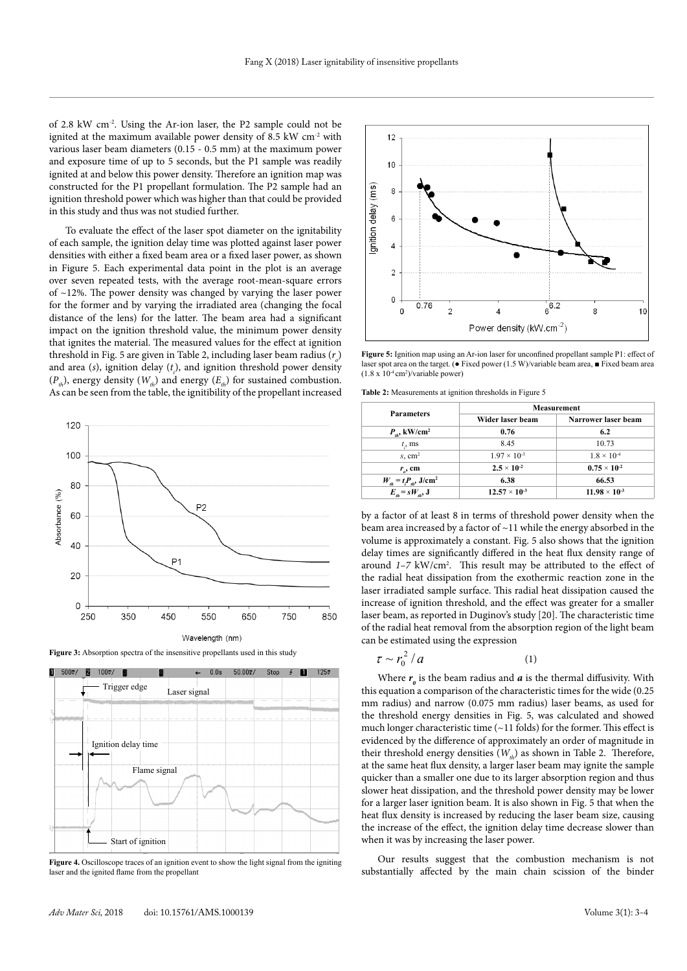of 2.8 kW cm-2. Using the Ar-ion laser, the P2 sample could not be ignited at the maximum available power density of 8.5 kW cm<sup>-2</sup> with various laser beam diameters (0.15 - 0.5 mm) at the maximum power and exposure time of up to 5 seconds, but the P1 sample was readily ignited at and below this power density. Therefore an ignition map was constructed for the P1 propellant formulation. The P2 sample had an ignition threshold power which was higher than that could be provided in this study and thus was not studied further.

To evaluate the effect of the laser spot diameter on the ignitability of each sample, the ignition delay time was plotted against laser power densities with either a fixed beam area or a fixed laser power, as shown in Figure 5. Each experimental data point in the plot is an average over seven repeated tests, with the average root-mean-square errors of ~12%. The power density was changed by varying the laser power for the former and by varying the irradiated area (changing the focal distance of the lens) for the latter. The beam area had a significant impact on the ignition threshold value, the minimum power density that ignites the material. The measured values for the effect at ignition threshold in Fig. 5 are given in Table 2, including laser beam radius  $(r_{_o})$ and area (*s*), ignition delay (*t i* ), and ignition threshold power density  $(P_n)$ , energy density  $(W_n)$  and energy  $(E_n)$  for sustained combustion. As can be seen from the table, the ignitibility of the propellant increased



Figure 3: Absorption spectra of the insensitive propellants used in this study



**Figure 4.** Oscilloscope traces of an ignition event to show the light signal from the igniting laser and the ignited flame from the propellant



**Figure 5:** Ignition map using an Ar-ion laser for unconfined propellant sample P1: effect of laser spot area on the target. ( $\bullet$  Fixed power (1.5 W)/variable beam area,  $\blacksquare$  Fixed beam area  $(1.8 \times 10^{-4} \text{ cm}^2)/$ variable power)

**Table 2:** Measurements at ignition thresholds in Figure 5

| <b>Parameters</b>                         | <b>Measurement</b>     |                        |
|-------------------------------------------|------------------------|------------------------|
|                                           | Wider laser beam       | Narrower laser beam    |
| $P_{ab}$ , kW/cm <sup>2</sup>             | 0.76                   | 6.2                    |
| $t_{\rm{s}}$ , ms                         | 8.45                   | 10.73                  |
| $s$ , cm <sup>2</sup>                     | $1.97 \times 10^{-3}$  | $1.8 \times 10^{-4}$   |
| $r_{\rm g}$ , cm                          | $2.5 \times 10^{-2}$   | $0.75 \times 10^{-2}$  |
| $W_{th} = t_i P_{th}$ , J/cm <sup>2</sup> | 6.38                   | 66.53                  |
| $E_a = sW_a$ , J                          | $12.57 \times 10^{-3}$ | $11.98 \times 10^{-3}$ |

by a factor of at least 8 in terms of threshold power density when the beam area increased by a factor of  $\sim$ 11 while the energy absorbed in the volume is approximately a constant. Fig. 5 also shows that the ignition delay times are significantly differed in the heat flux density range of around 1-7 kW/cm<sup>2</sup>. This result may be attributed to the effect of the radial heat dissipation from the exothermic reaction zone in the laser irradiated sample surface. This radial heat dissipation caused the increase of ignition threshold, and the effect was greater for a smaller laser beam, as reported in Duginov's study [20]. The characteristic time of the radial heat removal from the absorption region of the light beam can be estimated using the expression

$$
\tau \sim r_0^2 / a \tag{1}
$$

Where  $r_{\text{o}}$  is the beam radius and  $a$  is the thermal diffusivity. With this equation a comparison of the characteristic times for the wide (0.25 mm radius) and narrow (0.075 mm radius) laser beams, as used for the threshold energy densities in Fig. 5, was calculated and showed much longer characteristic time  $(-11$  folds) for the former. This effect is evidenced by the difference of approximately an order of magnitude in their threshold energy densities  $(W_a)$  as shown in Table 2. Therefore, at the same heat flux density, a larger laser beam may ignite the sample quicker than a smaller one due to its larger absorption region and thus slower heat dissipation, and the threshold power density may be lower for a larger laser ignition beam. It is also shown in Fig. 5 that when the heat flux density is increased by reducing the laser beam size, causing the increase of the effect, the ignition delay time decrease slower than when it was by increasing the laser power.

Our results suggest that the combustion mechanism is not substantially affected by the main chain scission of the binder